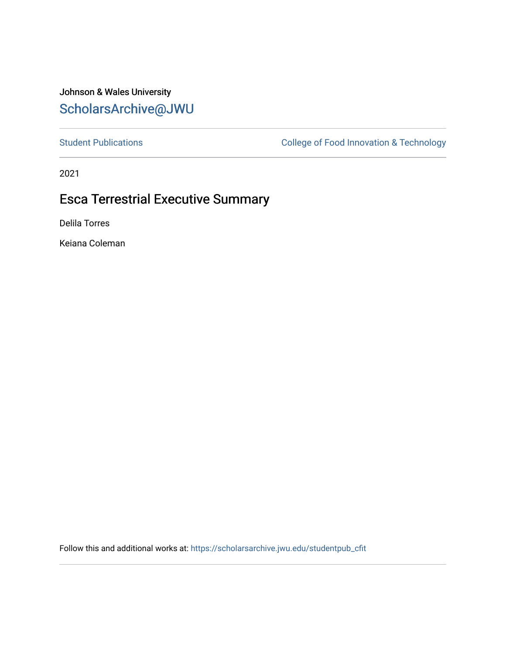### Johnson & Wales University [ScholarsArchive@JWU](https://scholarsarchive.jwu.edu/)

[Student Publications](https://scholarsarchive.jwu.edu/studentpub_cfit) **College of Food Innovation & Technology** 

2021

## Esca Terrestrial Executive Summary

Delila Torres

Keiana Coleman

Follow this and additional works at: [https://scholarsarchive.jwu.edu/studentpub\\_cfit](https://scholarsarchive.jwu.edu/studentpub_cfit?utm_source=scholarsarchive.jwu.edu%2Fstudentpub_cfit%2F1&utm_medium=PDF&utm_campaign=PDFCoverPages)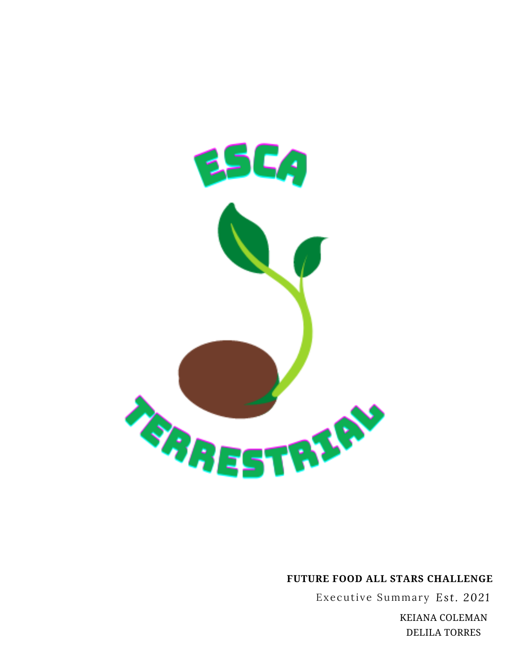

### **FUTURE FOOD ALL STARS CHALLENGE**

Executive Summary *Es t. 2021*

KEIANA COLEMAN DELILA TORRES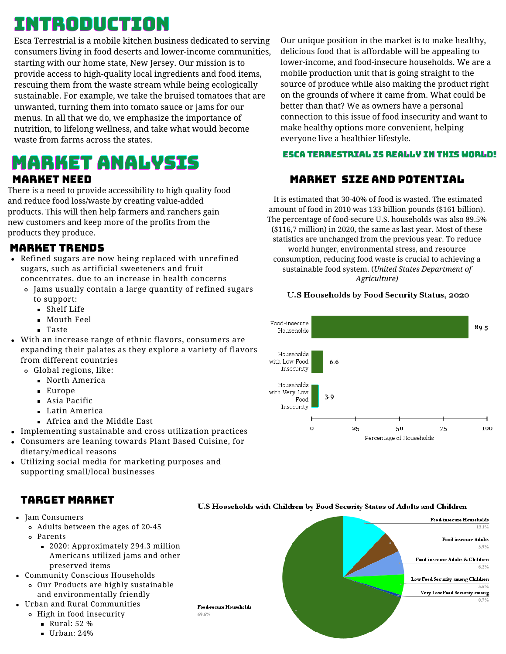# INTRODUCTION

Esca Terrestrial is a mobile kitchen business dedicated to serving consumers living in food deserts and lower-income communities, starting with our home state, New Jersey. Our mission is to provide access to high-quality local ingredients and food items, rescuing them from the waste stream while being ecologically sustainable. For example, we take the bruised tomatoes that are unwanted, turning them into tomato sauce or jams for our menus. In all that we do, we emphasize the importance of nutrition, to lifelong wellness, and take what would become waste from farms across the states.

# **MARKET ANALYSIS**

#### MARKET NEED

There is a need to provide accessibility to high quality food and reduce food loss/waste by creating value-added products. This will then help farmers and ranchers gain new customers and keep more of the profits from the products they produce.

### MARKET TRENDS

- Refined sugars are now being replaced with unrefined sugars, such as artificial sweeteners and fruit concentrates. due to an increase in health concerns
	- Jams usually contain a large quantity of refined sugars to support:
		- Shelf Life
		- **Mouth Feel**
		- Taste
- With an increase range of ethnic flavors, consumers are expanding their palates as they explore a variety of flavors from different countries
	- Global regions, like:
		- North America
		- Europe
		- Asia Pacific
		- **Latin America**
		- Africa and the Middle East
- Implementing sustainable and cross utilization practices
- Consumers are leaning towards Plant Based Cuisine, for dietary/medical reasons
- Utilizing social media for marketing purposes and supporting small/local businesses

### TARGET MARKET

- Jam Consumers
	- Adults between the ages of 20-45
	- Parents
		- 2020: Approximately 294.3 million Americans utilized jams and other preserved items
- Community Conscious Households
	- Our Products are highly sustainable and environmentally friendly
- Urban and Rural Communities
	- High in food insecurity
		- **Rural: 52 %**
		- $\blacksquare$  Urban: 24%

Our unique position in the market is to make healthy, delicious food that is affordable will be appealing to lower-income, and food-insecure households. We are a mobile production unit that is going straight to the source of produce while also making the product right on the grounds of where it came from. What could be better than that? We as owners have a personal connection to this issue of food insecurity and want to make healthy options more convenient, helping everyone live a healthier lifestyle.

#### MARKET SIZE AND POTENTIAL

It is estimated that 30-40% of food is wasted. The estimated amount of food in 2010 was 133 billion pounds (\$161 billion). The percentage of food-secure U.S. households was also 89.5% (\$116,7 million) in 2020, the same as last year. Most of these statistics are unchanged from the previous year. To reduce world hunger, environmental stress, and resource consumption, reducing food waste is crucial to achieving a sustainable food system. (*United States Department of Agriculture)*

#### U.S Households by Food Security Status, 2020





#### U.S Households with Children by Food Security Status of Adults and Children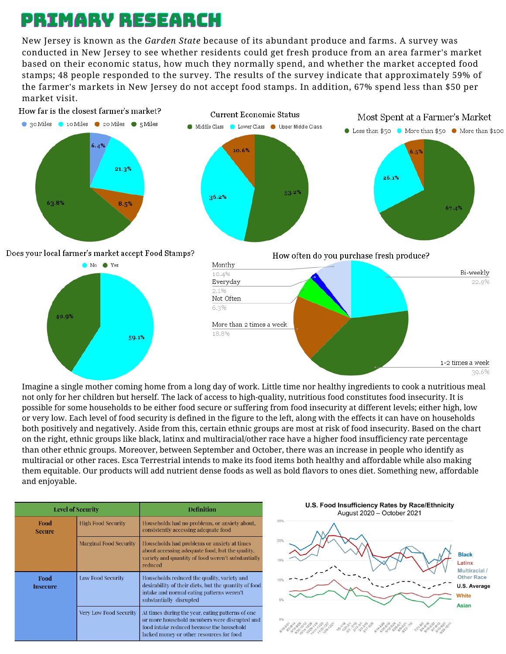# PRIMARY RESEARCH

New Jersey is known as the *Garden State* because of its abundant produce and farms. A survey was conducted in New Jersey to see whether residents could get fresh produce from an area farmer's market based on their economic status, how much they normally spend, and whether the market accepted food stamps; 48 people responded to the survey. The results of the survey indicate that approximately 59% of the farmer's markets in New Jersey do not accept food stamps. In addition, 67% spend less than \$50 per market visit.







Imagine a single mother coming home from a long day of work. Little time nor healthy ingredients to cook a nutritious meal not only for her children but herself. The lack of access to high-quality, nutritious food constitutes food insecurity. It is possible for some households to be either food secure or suffering from food insecurity at different levels; either high, low or very low. Each level of food security is defined in the figure to the left, along with the effects it can have on households both positively and negatively. Aside from this, certain ethnic groups are most at risk of food insecurity. Based on the chart on the right, ethnic groups like black, latinx and multiracial/other race have a higher food insufficiency rate percentage than other ethnic groups. Moreover, between September and October, there was an increase in people who identify as multiracial or other races. Esca Terrestrial intends to make its food items both healthy and affordable while also making them equitable. Our products will add nutrient dense foods as well as bold flavors to ones diet. Something new, affordable and enjoyable.

| <b>Level of Security</b> |                               | <b>Definition</b>                                                                                                                                                                         |  |
|--------------------------|-------------------------------|-------------------------------------------------------------------------------------------------------------------------------------------------------------------------------------------|--|
| Food<br><b>Secure</b>    | <b>High Food Security</b>     | Households had no problems, or anxiety about,<br>consistently accessing adequate food                                                                                                     |  |
|                          | <b>Marginal Food Security</b> | Households had problems or anxiety at times<br>about accessing adequate food, but the quality.<br>variety and quantity of food weren't substantially<br>reduced                           |  |
| Food<br><b>Insecure</b>  | <b>Low Food Security</b>      | Households reduced the quality, variety and<br>desirability of their diets, but the quantity of food<br>intake and normal eating patterns weren't<br>substantially disrupted              |  |
|                          | <b>Very Low Food Security</b> | At times during the year, eating patterns of one<br>or more household members were disrupted and<br>food intake reduced because the household<br>lacked money or other resources for food |  |

U.S. Food Insufficiency Rates by Race/Ethnicity August 2020 - October 2021

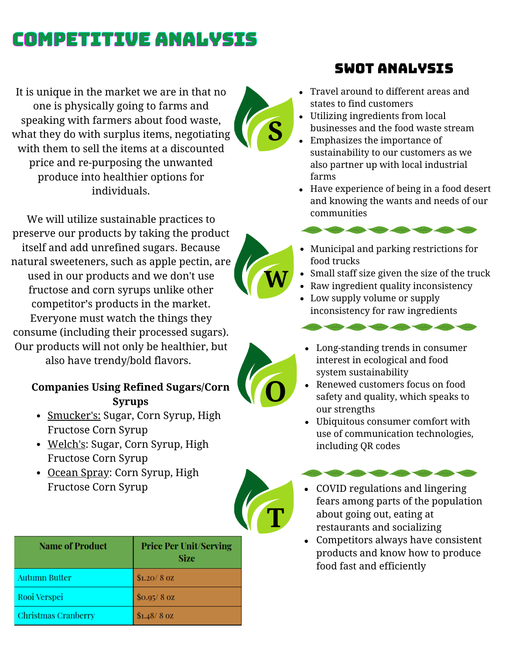# COMPETITIVE ANALYSIS

It is unique in the market we are in that no one is physically going to farms and speaking with farmers about food waste, what they do with surplus items, negotiating with them to sell the items at a discounted price and re-purposing the unwanted produce into healthier options for individuals.

We will utilize sustainable practices to preserve our products by taking the product itself and add unrefined sugars. Because natural sweeteners, such as apple pectin, are used in our products and we don't use fructose and corn syrups unlike other competitor's products in the market. Everyone must watch the things they consume (including their processed sugars). Our products will not only be healthier, but also have trendy/bold flavors.

### **Companies Using Refined Sugars/Corn Syrups**

- Smucker's: Sugar, Corn Syrup, High Fructose Corn Syrup
- Welch's: Sugar, Corn Syrup, High Fructose Corn Syrup
- Ocean Spray: Corn Syrup, High Fructose Corn Syrup

| <b>Name of Product</b>     | <b>Price Per Unit/Serving</b><br>Size |
|----------------------------|---------------------------------------|
| <b>Autumn Butter</b>       | \$1.20/8 oz                           |
| Rooi Verspei               | \$0.95/8 oz                           |
| <b>Christmas Cranberry</b> | $$1.48/8$ OZ                          |

## SWOT ANALYSIS

- Travel around to different areas and states to find customers
- Utilizing ingredients from local businesses and the food waste stream **S**
	- Emphasizes the importance of sustainability to our customers as we also partner up with local industrial farms
	- Have experience of being in a food desert and knowing the wants and needs of our communities

- Municipal and parking restrictions for food trucks
- Small staff size given the size of the truck
- **W**  $\cdot$  Small staff size given the size of the tr<br>Raw ingredient quality inconsistency
	- Low supply volume or supply inconsistency for raw ingredients

- Long-standing trends in consumer interest in ecological and food system sustainability
- Renewed customers focus on food safety and quality, which speaks to our strengths
- Ubiquitous consumer comfort with use of communication technologies, including QR codes

COVID regulations and lingering

- fears among parts of the population about going out, eating at restaurants and socializing
- Competitors always have consistent products and know how to produce food fast and efficiently





**T**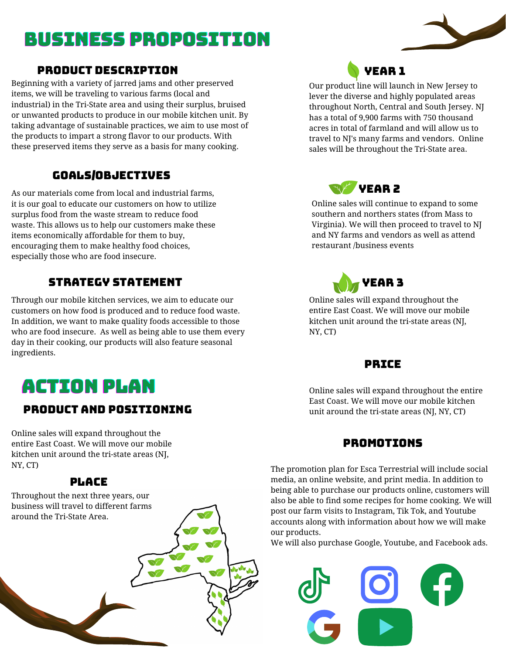# BUSINESS PROPOSITION

#### PRODUCT DESCRIPTION

Beginning with a variety of jarred jams and other preserved items, we will be traveling to various farms (local and industrial) in the Tri-State area and using their surplus, bruised or unwanted products to produce in our mobile kitchen unit. By taking advantage of sustainable practices, we aim to use most of the products to impart a strong flavor to our products. With these preserved items they serve as a basis for many cooking.

### GOALS/OBJECTIVES

As our materials come from local and industrial farms, it is our goal to educate our customers on how to utilize surplus food from the waste stream to reduce food waste. This allows us to help our customers make these items economically affordable for them to buy, encouraging them to make healthy food choices, especially those who are food insecure.

### STRATEGY STATEMENT

Through our mobile kitchen services, we aim to educate our customers on how food is produced and to reduce food waste. In addition, we want to make quality foods accessible to those who are food insecure. As well as being able to use them every day in their cooking, our products will also feature seasonal ingredients.

# ACTION PLAN

### PRODUCT AND POSITIONING

Online sales will expand throughout the entire East Coast. We will move our mobile kitchen unit around the tri-state areas (NJ, NY, CT)

### PLACE

Throughout the next three years, our business will travel to different farms around the Tri-State Area.



Our product line will launch in New Jersey to lever the diverse and highly populated areas throughout North, Central and South Jersey. NJ has a total of 9,900 farms with 750 thousand acres in total of farmland and will allow us to travel to NJ's many farms and vendors. Online sales will be throughout the Tri-State area.



Online sales will continue to expand to some southern and northers states (from Mass to Virginia). We will then proceed to travel to NJ and NY farms and vendors as well as attend restaurant /business events



Online sales will expand throughout the entire East Coast. We will move our mobile kitchen unit around the tri-state areas (NJ, NY, CT)

#### PRICE

Online sales will expand throughout the entire East Coast. We will move our mobile kitchen unit around the tri-state areas (NJ, NY, CT)

### PROMOTIONS

The promotion plan for Esca Terrestrial will include social media, an online website, and print media. In addition to being able to purchase our products online, customers will also be able to find some recipes for home cooking. We will post our farm visits to Instagram, Tik Tok, and Youtube accounts along with information about how we will make our products.

We will also purchase Google, Youtube, and Facebook ads.



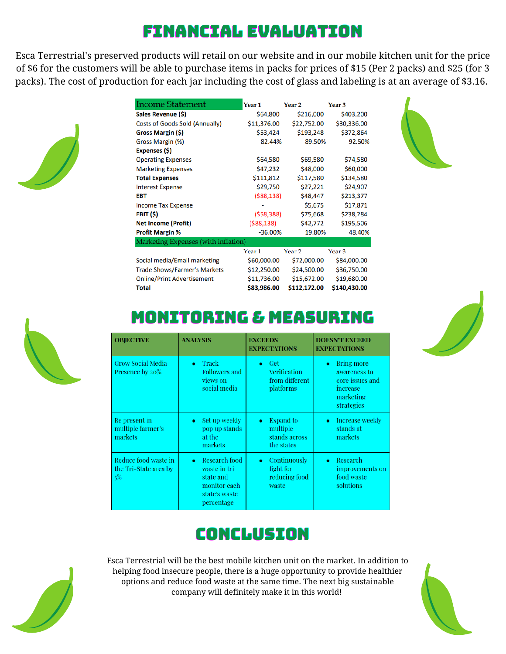# FINANCIAL EVALUATION

Esca Terrestrial's preserved products will retail on our website and in our mobile kitchen unit for the price of \$6 for the customers will be able to purchase items in packs for prices of \$15 (Per 2 packs) and \$25 (for 3 packs). The cost of production for each jar including the cost of glass and labeling is at an average of \$3.16.



| Income Statement                      | Year <sub>1</sub> | Year <sub>2</sub> | Year <sub>3</sub> |
|---------------------------------------|-------------------|-------------------|-------------------|
| Sales Revenue (\$)                    | \$64,800          | \$216,000         | \$403,200         |
| <b>Costs of Goods Sold (Annually)</b> | \$11,376.00       | \$22,752.00       | \$30,336.00       |
| Gross Margin (\$)                     | \$53,424          | \$193,248         | \$372,864         |
| Gross Margin (%)                      | 82.44%            | 89.50%            | 92.50%            |
| Expenses (\$)                         |                   |                   |                   |
| <b>Operating Expenses</b>             | \$64,580          | \$69,580          | \$74,580          |
| <b>Marketing Expenses</b>             | \$47,232          | \$48,000          | \$60,000          |
| <b>Total Expenses</b>                 | \$111,812         | \$117,580         | \$134,580         |
| <b>Interest Expense</b>               | \$29,750          | \$27,221          | \$24,907          |
| <b>EBT</b>                            | ( \$88, 138)      | \$48,447          | \$213,377         |
| <b>Income Tax Expense</b>             |                   | \$5,675           | \$17,871          |
| EBIT (\$)                             | (558, 388)        | \$75,668          | \$238,284         |
| <b>Net Income (Profit)</b>            | ( \$88, 138)      | \$42,772          | \$195,506         |
| <b>Profit Margin %</b>                | $-36.00%$         | 19.80%            | 48.40%            |
| Marketing Expenses (with inflation)   |                   |                   |                   |
|                                       | Year <sub>1</sub> | Year <sub>2</sub> | Year <sub>3</sub> |
| Social media/Email marketing          | \$60,000.00       | \$72,000.00       | \$84,000.00       |
| <b>Trade Shows/Farmer's Markets</b>   | \$12,250.00       | \$24,500.00       | \$36,750.00       |
| <b>Online/Print Advertisement</b>     | \$11,736.00       | \$15,672.00       | \$19,680.00       |





**Total** 

# MONITORING & MEASURING

\$83,986.00 \$112,172.00 \$140,430.00

| <b>OBJECTIVE</b>                                    | <b>ANALYSIS</b>                                                                                        | <b>EXCEEDS</b><br><b>EXPECTATIONS</b>                                    | <b>DOESN'T EXCEED</b><br><b>EXPECTATIONS</b>                                                             |
|-----------------------------------------------------|--------------------------------------------------------------------------------------------------------|--------------------------------------------------------------------------|----------------------------------------------------------------------------------------------------------|
| <b>Grow Social Media</b><br>Presence by 20%         | Track<br>٠<br><b>Followers and</b><br>views on<br>social media                                         | <b>Get</b><br>$\bullet$<br>Verification<br>from different<br>platforms   | <b>Bring more</b><br>$\bullet$<br>awareness to<br>core issues and<br>increase<br>marketing<br>strategies |
| Be present in<br>multiple farmer's<br>markets       | Set up weekly<br>۰<br>pop up stands<br>at the<br>markets                                               | <b>Expand to</b><br>$\bullet$<br>multiple<br>stands across<br>the states | Increase weekly<br>$\bullet$<br>stands at<br>markets                                                     |
| Reduce food waste in<br>the Tri-State area by<br>5% | Research food<br>$\bullet$<br>waste in tri<br>state and<br>monitor each<br>state's waste<br>percentage | Continuously<br>$\bullet$<br>fight for<br>reducing food<br>waste         | Research<br>$\bullet$<br>improvements on<br>food waste<br>solutions                                      |

## CONCLUSION



Esca Terrestrial will be the best mobile kitchen unit on the market. In addition to helping food insecure people, there is a huge opportunity to provide healthier options and reduce food waste at the same time. The next big sustainable company will definitely make it in this world!

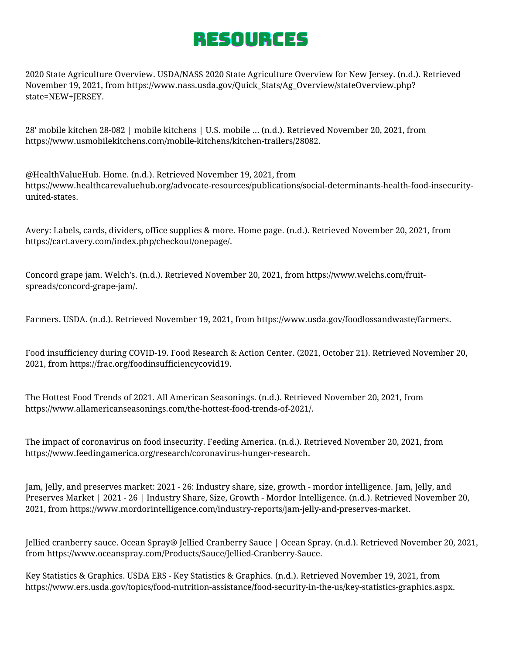# RESOURCES

2020 State Agriculture Overview. USDA/NASS 2020 State Agriculture Overview for New Jersey. (n.d.). Retrieved November 19, 2021, from https://www.nass.usda.gov/Quick\_Stats/Ag\_Overview/stateOverview.php? state=NEW+JERSEY.

28' mobile kitchen 28-082 | mobile kitchens | U.S. mobile ... (n.d.). Retrieved November 20, 2021, from https://www.usmobilekitchens.com/mobile-kitchens/kitchen-trailers/28082.

@HealthValueHub. Home. (n.d.). Retrieved November 19, 2021, from https://www.healthcarevaluehub.org/advocate-resources/publications/social-determinants-health-food-insecurityunited-states.

Avery: Labels, cards, dividers, office supplies & more. Home page. (n.d.). Retrieved November 20, 2021, from https://cart.avery.com/index.php/checkout/onepage/.

Concord grape jam. Welch's. (n.d.). Retrieved November 20, 2021, from https://www.welchs.com/fruitspreads/concord-grape-jam/.

Farmers. USDA. (n.d.). Retrieved November 19, 2021, from https://www.usda.gov/foodlossandwaste/farmers.

Food insufficiency during COVID-19. Food Research & Action Center. (2021, October 21). Retrieved November 20, 2021, from https://frac.org/foodinsufficiencycovid19.

The Hottest Food Trends of 2021. All American Seasonings. (n.d.). Retrieved November 20, 2021, from https://www.allamericanseasonings.com/the-hottest-food-trends-of-2021/.

The impact of coronavirus on food insecurity. Feeding America. (n.d.). Retrieved November 20, 2021, from https://www.feedingamerica.org/research/coronavirus-hunger-research.

Jam, Jelly, and preserves market: 2021 - 26: Industry share, size, growth - mordor intelligence. Jam, Jelly, and Preserves Market | 2021 - 26 | Industry Share, Size, Growth - Mordor Intelligence. (n.d.). Retrieved November 20, 2021, from https://www.mordorintelligence.com/industry-reports/jam-jelly-and-preserves-market.

Jellied cranberry sauce. Ocean Spray® Jellied Cranberry Sauce | Ocean Spray. (n.d.). Retrieved November 20, 2021, from https://www.oceanspray.com/Products/Sauce/Jellied-Cranberry-Sauce.

Key Statistics & Graphics. USDA ERS - Key Statistics & Graphics. (n.d.). Retrieved November 19, 2021, from https://www.ers.usda.gov/topics/food-nutrition-assistance/food-security-in-the-us/key-statistics-graphics.aspx.